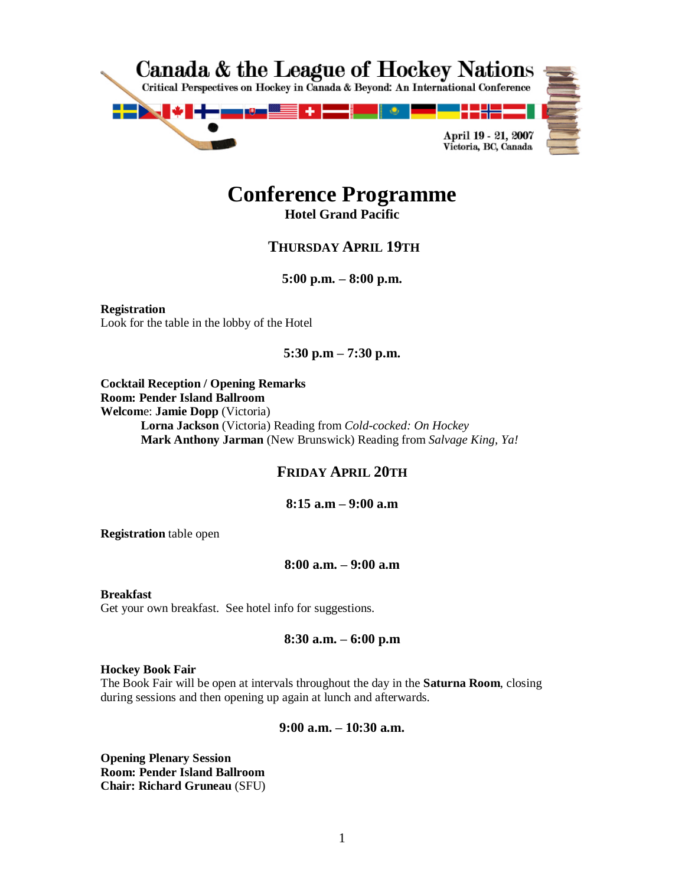

# **Conference Programme**

**Hotel Grand Pacific**

# **THURSDAY APRIL 19TH**

**5:00 p.m. –8:00 p.m.**

**Registration** Look for the table in the lobby of the Hotel

# **5:30 p.m –7:30 p.m.**

**Cocktail Reception / Opening Remarks Room: Pender Island Ballroom Welcom**e: **Jamie Dopp** (Victoria) **Lorna Jackson** (Victoria) Reading from *Cold-cocked: On Hockey* **Mark Anthony Jarman** (New Brunswick) Reading from *Salvage King, Ya!*

# **FRIDAY APRIL 20TH**

**8:15 a.m –9:00 a.m**

**Registration** table open

# **8:00 a.m. –9:00 a.m**

**Breakfast** Get your own breakfast. See hotel info for suggestions.

## **8:30 a.m. –6:00 p.m**

#### **Hockey Book Fair**

The Book Fair will be open at intervals throughout the day in the **Saturna Room**, closing during sessions and then opening up again at lunch and afterwards.

## **9:00 a.m. –10:30 a.m.**

**Opening Plenary Session Room: Pender Island Ballroom Chair: Richard Gruneau** (SFU)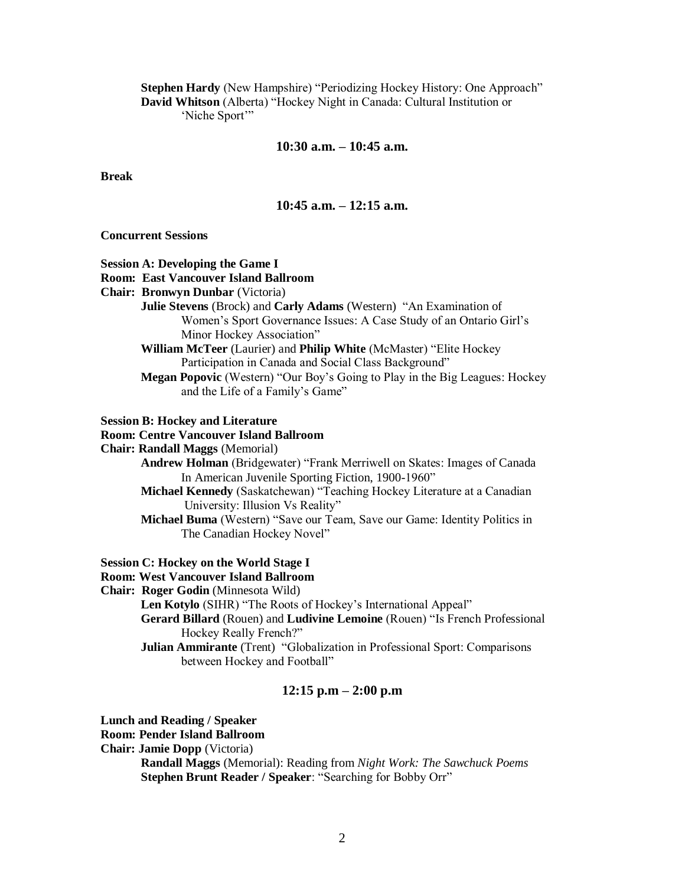Stephen Hardy (New Hampshire) "Periodizing Hockey History: One Approach" David Whitson (Alberta) "Hockey Night in Canada: Cultural Institution or 'Niche Sport'"

# **10:30 a.m. –10:45 a.m.**

**Break**

# **10:45 a.m. –12:15 a.m.**

# **Concurrent Sessions**

| <b>Session A: Developing the Game I</b>                                     |
|-----------------------------------------------------------------------------|
| <b>Room: East Vancouver Island Ballroom</b>                                 |
| Chair: Bronwyn Dunbar (Victoria)                                            |
| Julie Stevens (Brock) and Carly Adams (Western) "An Examination of          |
| Women's Sport Governance Issues: A Case Study of an Ontario Girl's          |
| Minor Hockey Association"                                                   |
| William McTeer (Laurier) and Philip White (McMaster) "Elite Hockey          |
| Participation in Canada and Social Class Background"                        |
| Megan Popovic (Western) "Our Boy's Going to Play in the Big Leagues: Hockey |
| and the Life of a Family's Game"                                            |
| <b>Session B: Hockey and Literature</b>                                     |
| <b>Room: Centre Vancouver Island Ballroom</b>                               |
| <b>Chair: Randall Maggs (Memorial)</b>                                      |
| Andrew Holman (Bridgewater) "Frank Merriwell on Skates: Images of Canada    |
| In American Juvenile Sporting Fiction, 1900-1960"                           |
| Michael Kennedy (Saskatchewan) "Teaching Hockey Literature at a Canadian    |
| University: Illusion Vs Reality"                                            |
| Michael Buma (Western) "Save our Team, Save our Game: Identity Politics in  |
| The Canadian Hockey Novel"                                                  |
| <b>Session C: Hockey on the World Stage I</b>                               |
| <b>Room: West Vancouver Island Ballroom</b>                                 |
| Chair: Roger Godin (Minnesota Wild)                                         |
| Len Kotylo (SIHR) "The Roots of Hockey's International Appeal"              |
| Gerard Billard (Rouen) and Ludivine Lemoine (Rouen) "Is French Professional |
| Hockey Really French?"                                                      |
| Julian Ammirante (Trent) "Globalization in Professional Sport: Comparisons  |
| between Hockey and Football"                                                |
| 12:15 p.m $-$ 2:00 p.m                                                      |
|                                                                             |

**Lunch and Reading / Speaker**

**Room: Pender Island Ballroom**

**Chair: Jamie Dopp** (Victoria)

**Randall Maggs** (Memorial): Reading from *Night Work: The Sawchuck Poems* **Stephen Brunt Reader / Speaker: "Searching for Bobby Orr"**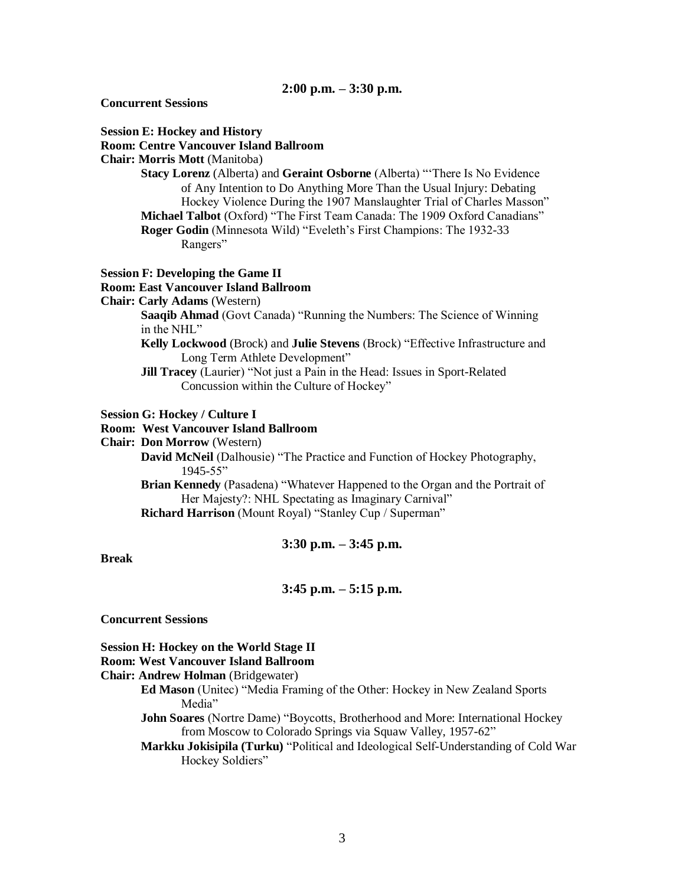**Concurrent Sessions**

#### **Session E: Hockey and History**

#### **Room: Centre Vancouver Island Ballroom**

#### **Chair: Morris Mott** (Manitoba)

**Stacy Lorenz** (Alberta) and **Geraint Osborne** (Alberta) "There Is No Evidence of Any Intention to Do Anything More Than the Usual Injury: Debating Hockey Violence During the 1907 Manslaughter Trial of Charles Masson" **Michael Talbot** (Oxford) "The First Team Canada: The 1909 Oxford Canadians" **Roger Godin** (Minnesota Wild) "Eveleth's First Champions: The 1932-33

Rangers"

#### **Session F: Developing the Game II**

#### **Room: East Vancouver Island Ballroom**

**Chair: Carly Adams** (Western)

**Saaqib Ahmad** (Govt Canada) "Running the Numbers: The Science of Winning in the NHL"

- **Kelly Lockwood** (Brock) and **Julie Stevens** (Brock) "Effective Infrastructure and Long Term Athlete Development"
- **Jill Tracey** (Laurier) "Not just a Pain in the Head: Issues in Sport-Related Concussion within the Culture of Hockey"

#### **Session G: Hockey / Culture I**

#### **Room: West Vancouver Island Ballroom**

## **Chair: Don Morrow** (Western)

**David McNeil** (Dalhousie) "The Practice and Function of Hockey Photography, 1945-55"

**Brian Kennedy** (Pasadena) "Whatever Happened to the Organ and the Portrait of Her Majesty?: NHL Spectating as Imaginary Carnival"

**Richard Harrison** (Mount Royal) "Stanley Cup / Superman"

# **3:30 p.m. –3:45 p.m.**

**Break**

## **3:45 p.m. –5:15 p.m.**

**Concurrent Sessions**

# **Session H: Hockey on the World Stage II**

# **Room: West Vancouver Island Ballroom**

#### **Chair: Andrew Holman** (Bridgewater)

**Ed Mason** (Unitec) "Media Framing of the Other: Hockey in New Zealand Sports Media"

**John Soares** (Nortre Dame) "Boycotts, Brotherhood and More: International Hockey from Moscow to Colorado Springs via Squaw Valley, 1957-62"

**Markku Jokisipila (Turku)** "Political and Ideological Self-Understanding of Cold War Hockey Soldiers"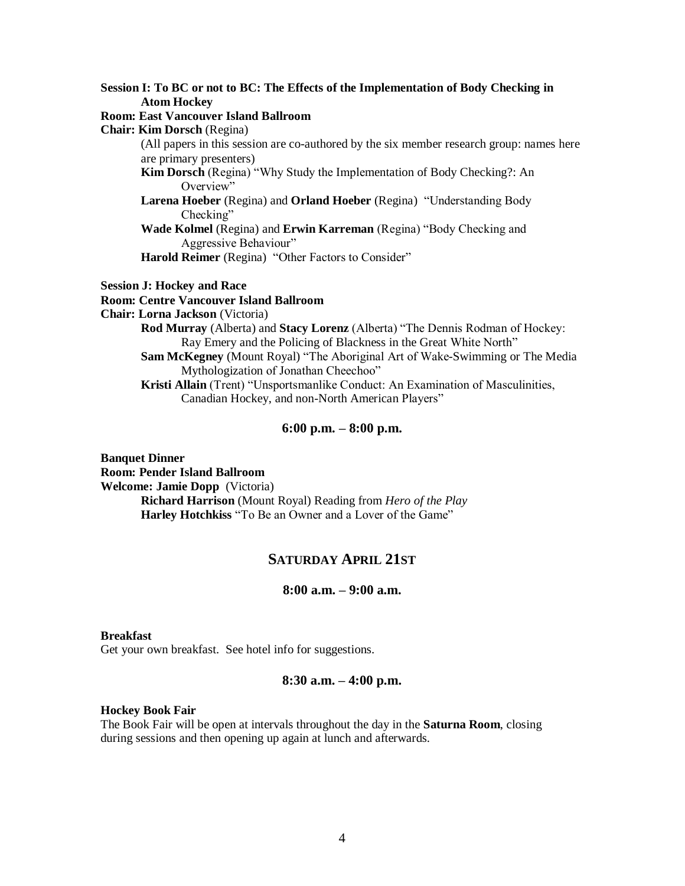**Session I: To BC or not to BC: The Effects of the Implementation of Body Checking in Atom Hockey**

# **Room: East Vancouver Island Ballroom**

**Chair: Kim Dorsch** (Regina)

(All papers in this session are co-authored by the six member research group: names here are primary presenters)

**Kim Dorsch** (Regina) "Why Study the Implementation of Body Checking?: An Overview"

- **Larena Hoeber** (Regina) and **Orland Hoeber** (Regina) "Understanding Body Checking"
- **Wade Kolmel** (Regina) and **Erwin Karreman** (Regina)"BodyCheckingand Aggressive Behaviour"

Harold Reimer (Regina) "Other Factors to Consider"

#### **Session J: Hockey and Race**

# **Room: Centre Vancouver Island Ballroom**

**Chair: Lorna Jackson** (Victoria)

**Rod Murray** (Alberta) and **Stacy Lorenz** (Alberta) "The Dennis Rodman of Hockey: Ray Emery and the Policing of Blackness in the Great White North" **Sam McKegney** (Mount Royal) "The Aboriginal Art of Wake-Swimming or The Media

Mythologization of Jonathan Cheechoo"

**Kristi Allain** (Trent) "Unsportsmanlike Conduct: An Examination of Masculinities, Canadian Hockey, and non-North American Players"

## **6:00 p.m. –8:00 p.m.**

**Banquet Dinner Room: Pender Island Ballroom Welcome: Jamie Dopp** (Victoria) **Richard Harrison** (Mount Royal) Reading from *Hero of the Play* Harley Hotchkiss "To Be an Owner and a Lover of the Game"

# **SATURDAY APRIL 21ST**

# **8:00 a.m. –9:00 a.m.**

#### **Breakfast**

Get your own breakfast. See hotel info for suggestions.

#### **8:30 a.m. –4:00 p.m.**

#### **Hockey Book Fair**

The Book Fair will be open at intervals throughout the day in the **Saturna Room**, closing during sessions and then opening up again at lunch and afterwards.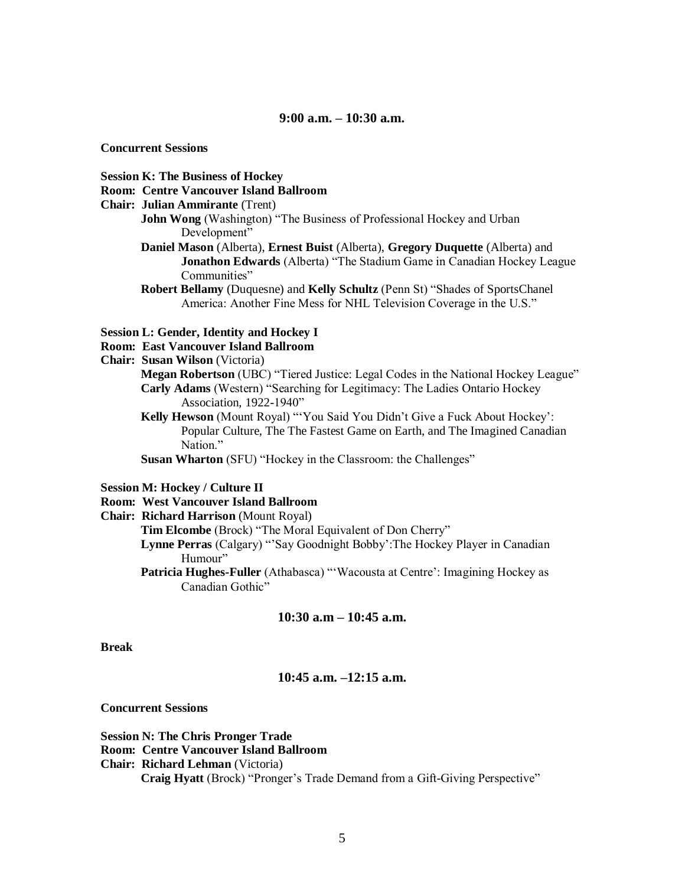**9:00 a.m. –10:30 a.m.**

**Concurrent Sessions**

**Session K: The Business of Hockey**

**Room: Centre Vancouver Island Ballroom**

**Chair: Julian Ammirante** (Trent)

**John Wong** (Washington) "The Business of Professional Hockey and Urban Development"

**Daniel Mason** (Alberta), **Ernest Buist** (Alberta), **Gregory Duquette** (Alberta) and **Jonathon Edwards** (Alberta) "The Stadium Game in Canadian Hockey League Communities"

**Robert Bellamy** (Duquesne) and **Kelly Schultz** (Penn St) "Shades of SportsChanel America: Another Fine Mess for NHL Television Coverage in the U.S."

#### **Session L: Gender, Identity and Hockey I**

**Room: East Vancouver Island Ballroom**

**Chair: Susan Wilson** (Victoria)

**Megan Robertson** (UBC) "Tiered Justice: Legal Codes in the National Hockey League" Carly Adams (Western) "Searching for Legitimacy: The Ladies Ontario Hockey Association, 1922-1940"

Kelly Hewson (Mount Royal) "'You Said You Didn't Give a Fuck About Hockey': Popular Culture, The The Fastest Game on Earth, and The Imagined Canadian Nation."

**Susan Wharton** (SFU) "Hockey in the Classroom: the Challenges"

**Session M: Hockey / Culture II**

# **Room: West Vancouver Island Ballroom**

**Chair: Richard Harrison** (Mount Royal)

Tim Elcombe (Brock) "The Moral Equivalent of Don Cherry"

**Lynne Perras** (Calgary) "'Say Goodnight Bobby':The Hockey Player in Canadian Humour"

Patricia Hughes-Fuller (Athabasca) "'Wacousta at Centre': Imagining Hockey as Canadian Gothic"

# **10:30 a.m –10:45 a.m.**

#### **Break**

#### **10:45 a.m. –12:15 a.m.**

**Concurrent Sessions**

**Session N: The Chris Pronger Trade Room: Centre Vancouver Island Ballroom Chair: Richard Lehman** (Victoria) **Craig Hyatt** (Brock) "Pronger's Trade Demand from a Gift-Giving Perspective"